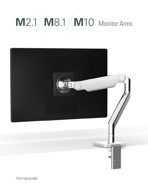# **M**2.1 **M**8.1 **M**10 Monitor Arms



Humanscale<sup>®</sup>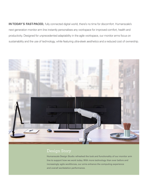**IN TODAY'S FAST-PACED,** fully connected digital world, there's no time for discomfort. Humanscale's next generation monitor arm line instantly personalises any workspace for improved comfort, health and productivity. Designed for unprecedented adaptability in the agile workspace, our monitor arms focus on sustainability and the use of technology, while featuring ultra-sleek aesthetics and a reduced cost of ownership.



#### Design Story

Humanscale Design Studio refreshed the look and functionality of our monitor arm line to support how we work today. With more technology than ever before and increasingly agile workforces, our arms enhance the computing experience and overall workstation performance.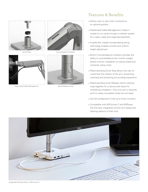



Easy Install Cable Management **Cable Case Contract Cable Management** Quick Release Joints





### Features & Benefits

- Allows user to view their monitor(s) at an optimal position
- Rubberised Cable Management makes it simple to run cords through a modular system for a clean, sleek and organised aesthetic
- A patented, weight-compensating spring technology enables smooth and uniform height adjustment
- Built-in Counterbalance Indicator provides the ability to counterbalance the monitor weight before monitor installation to reduce expensive computer setup costs
- Patent-pending Smart Stop allows the user to customise the rotation of the arm, preventing overhang and protecting surrounding equipment
- Patent-pending Quick Release Joints instantly snap together for a secure and robust fit, simplifying installation. Only one tool is required, and it's neatly concealed inside the arm base
- Can be configured to hold up to three monitors
- Compatible with M/Connect 2 and M/Power, the first-ever integrated monitor arm bases and docking stations of their kind



Integrated Docking Station: M/Connect 2